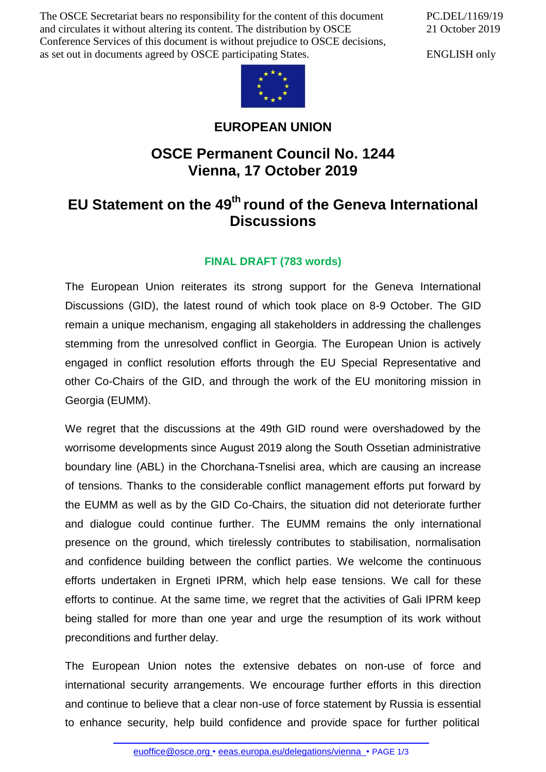The OSCE Secretariat bears no responsibility for the content of this document and circulates it without altering its content. The distribution by OSCE Conference Services of this document is without prejudice to OSCE decisions, as set out in documents agreed by OSCE participating States.

PC.DEL/1169/19 21 October 2019

ENGLISH only



## **EUROPEAN UNION**

## **OSCE Permanent Council No. 1244 Vienna, 17 October 2019**

## **EU Statement on the 49th round of the Geneva International Discussions**

## **FINAL DRAFT (783 words)**

The European Union reiterates its strong support for the Geneva International Discussions (GID), the latest round of which took place on 8-9 October. The GID remain a unique mechanism, engaging all stakeholders in addressing the challenges stemming from the unresolved conflict in Georgia. The European Union is actively engaged in conflict resolution efforts through the EU Special Representative and other Co-Chairs of the GID, and through the work of the EU monitoring mission in Georgia (EUMM).

We regret that the discussions at the 49th GID round were overshadowed by the worrisome developments since August 2019 along the South Ossetian administrative boundary line (ABL) in the Chorchana-Tsnelisi area, which are causing an increase of tensions. Thanks to the considerable conflict management efforts put forward by the EUMM as well as by the GID Co-Chairs, the situation did not deteriorate further and dialogue could continue further. The EUMM remains the only international presence on the ground, which tirelessly contributes to stabilisation, normalisation and confidence building between the conflict parties. We welcome the continuous efforts undertaken in Ergneti IPRM, which help ease tensions. We call for these efforts to continue. At the same time, we regret that the activities of Gali IPRM keep being stalled for more than one year and urge the resumption of its work without preconditions and further delay.

The European Union notes the extensive debates on non-use of force and international security arrangements. We encourage further efforts in this direction and continue to believe that a clear non-use of force statement by Russia is essential to enhance security, help build confidence and provide space for further political

[euoffice@osce.org](mailto:euoffice@osce.org) • [eeas.europa.eu/delegations/vienna](http://eeas.europa.eu/delegations/vienna) • PAGE 1/3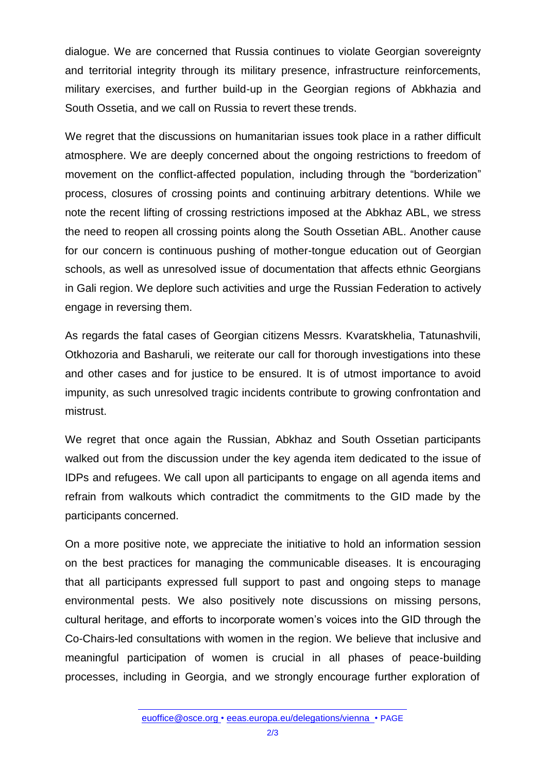dialogue. We are concerned that Russia continues to violate Georgian sovereignty and territorial integrity through its military presence, infrastructure reinforcements, military exercises, and further build-up in the Georgian regions of Abkhazia and South Ossetia, and we call on Russia to revert these trends.

We regret that the discussions on humanitarian issues took place in a rather difficult atmosphere. We are deeply concerned about the ongoing restrictions to freedom of movement on the conflict-affected population, including through the "borderization" process, closures of crossing points and continuing arbitrary detentions. While we note the recent lifting of crossing restrictions imposed at the Abkhaz ABL, we stress the need to reopen all crossing points along the South Ossetian ABL. Another cause for our concern is continuous pushing of mother-tongue education out of Georgian schools, as well as unresolved issue of documentation that affects ethnic Georgians in Gali region. We deplore such activities and urge the Russian Federation to actively engage in reversing them.

As regards the fatal cases of Georgian citizens Messrs. Kvaratskhelia, Tatunashvili, Otkhozoria and Basharuli, we reiterate our call for thorough investigations into these and other cases and for justice to be ensured. It is of utmost importance to avoid impunity, as such unresolved tragic incidents contribute to growing confrontation and mistrust.

We regret that once again the Russian, Abkhaz and South Ossetian participants walked out from the discussion under the key agenda item dedicated to the issue of IDPs and refugees. We call upon all participants to engage on all agenda items and refrain from walkouts which contradict the commitments to the GID made by the participants concerned.

On a more positive note, we appreciate the initiative to hold an information session on the best practices for managing the communicable diseases. It is encouraging that all participants expressed full support to past and ongoing steps to manage environmental pests. We also positively note discussions on missing persons, cultural heritage, and efforts to incorporate women's voices into the GID through the Co-Chairs-led consultations with women in the region. We believe that inclusive and meaningful participation of women is crucial in all phases of peace-building processes, including in Georgia, and we strongly encourage further exploration of